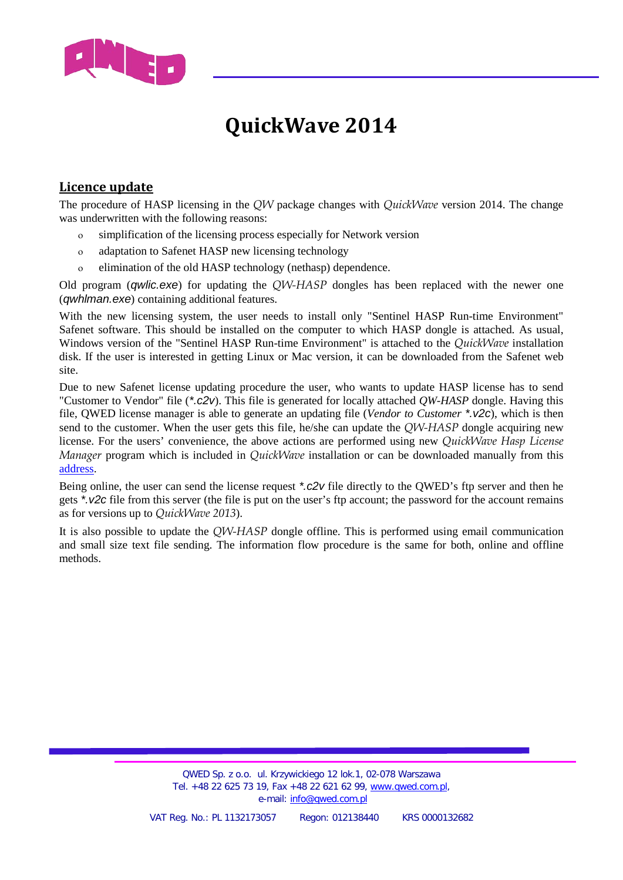

## **QuickWave 2014**

## **Licence update**

The procedure of HASP licensing in the *QW* package changes with *QuickWave* version 2014. The change was underwritten with the following reasons:

- ο simplification of the licensing process especially for Network version
- ο adaptation to Safenet HASP new licensing technology
- ο elimination of the old HASP technology (nethasp) dependence.

Old program (*qwlic.exe*) for updating the *QW-HASP* dongles has been replaced with the newer one (*qwhlman.exe*) containing additional features.

With the new licensing system, the user needs to install only "Sentinel HASP Run-time Environment" Safenet software. This should be installed on the computer to which HASP dongle is attached. As usual, Windows version of the "Sentinel HASP Run-time Environment" is attached to the *QuickWave* installation disk. If the user is interested in getting Linux or Mac version, it can be downloaded from the Safenet web site.

Due to new Safenet license updating procedure the user, who wants to update HASP license has to send "Customer to Vendor" file (*\*.c2v*). This file is generated for locally attached *QW-HASP* dongle. Having this file, QWED license manager is able to generate an updating file (*Vendor to Customer \*.v2c*), which is then send to the customer. When the user gets this file, he/she can update the *QW-HASP* dongle acquiring new license. For the users' convenience, the above actions are performed using new *QuickWave Hasp License Manager* program which is included in *QuickWave* installation or can be downloaded manually from this [address.](ftp://anonymous@ftp.qwed.com.pl/pub/qwed/HASP/QW_Hasp_License_Manager)

Being online, the user can send the license request *\*.c2v* file directly to the QWED's ftp server and then he gets *\*.v2c* file from this server (the file is put on the user's ftp account; the password for the account remains as for versions up to *QuickWave 2013*).

It is also possible to update the *QW-HASP* dongle offline. This is performed using email communication and small size text file sending. The information flow procedure is the same for both, online and offline methods.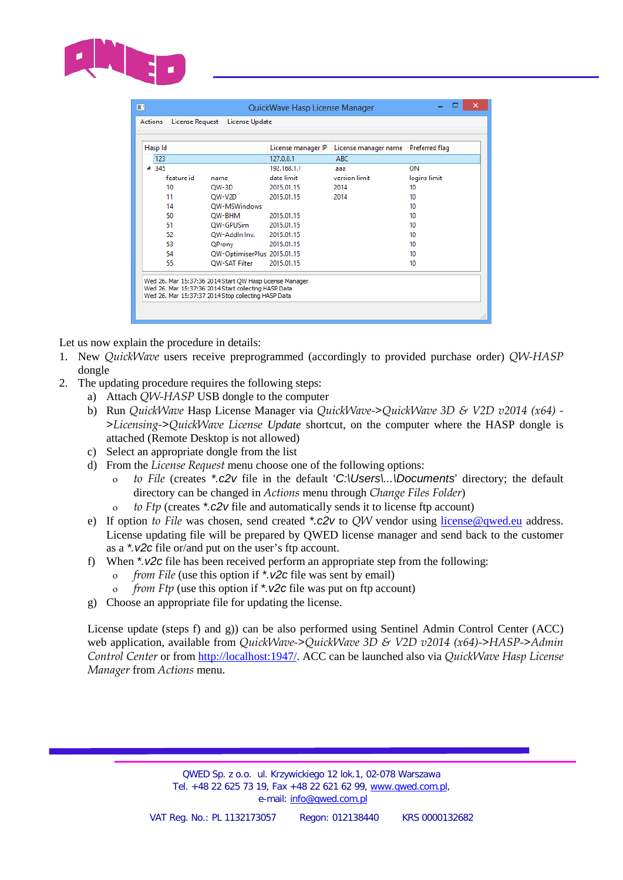

| Hasp Id    |                             | License manager IP | License manager name | Preferred flag |  |
|------------|-----------------------------|--------------------|----------------------|----------------|--|
| 123        |                             | 127.0.0.1          | <b>ABC</b>           |                |  |
| 4.345      |                             | 192.168.1.1        | aaa                  | ON             |  |
| feature id | name                        | date limit         | version limit        | logins limit   |  |
| 10         | $OW-3D$                     | 2015.01.15         | 2014                 | 10             |  |
| 11         | OW-V2D                      | 2015.01.15         | 2014                 | 10             |  |
| 14         | OW-MSWindows                |                    |                      | 10             |  |
| 50         | OW-BHM                      | 2015.01.15         |                      | 10             |  |
| 51         | OW-GPUSim                   | 2015.01.15         | 10                   |                |  |
| 52         | OW-Addin Inv.               | 2015.01.15         | 10                   |                |  |
| 53         | QProny                      | 2015.01.15         | 10                   |                |  |
| 54         | QW-OptimiserPlus 2015.01.15 |                    |                      | 10             |  |
| 55         | <b>OW-SAT Filter</b>        | 2015.01.15         |                      | 10             |  |
|            |                             |                    |                      |                |  |

Let us now explain the procedure in details:

- 1. New *QuickWave* users receive preprogrammed (accordingly to provided purchase order) *QW-HASP* dongle
- 2. The updating procedure requires the following steps:
	- a) Attach *QW-HASP* USB dongle to the computer
	- b) Run *QuickWave* Hasp License Manager via *QuickWave->QuickWave 3D & V2D v2014 (x64) - >Licensing->QuickWave License Update* shortcut, on the computer where the HASP dongle is attached (Remote Desktop is not allowed)
	- c) Select an appropriate dongle from the list
	- d) From the *License Request* menu choose one of the following options:
		- ο *to File* (creates *\*.c2v* file in the default '*C:\Users\...\Documents*' directory; the default directory can be changed in *Actions* menu through *Change Files Folder*)
		- ο *to Ftp* (creates *\*.c2v* file and automatically sends it to license ftp account)
	- e) If option *to File* was chosen, send created *\*.c2v* to *QW* vendor using [license@qwed.eu](mailto:license@qwed.eu) address. License updating file will be prepared by QWED license manager and send back to the customer as a *\*.v2c* file or/and put on the user's ftp account.
	- f) When *\*.v2c* file has been received perform an appropriate step from the following:
		- ο *from File* (use this option if *\*.v2c* file was sent by email)
		- ο *from Ftp* (use this option if *\*.v2c* file was put on ftp account)
	- g) Choose an appropriate file for updating the license.

License update (steps f) and g)) can be also performed using Sentinel Admin Control Center (ACC) web application, available from *QuickWave->QuickWave 3D & V2D v2014 (x64)->HASP->Admin Control Center* or from [http://localhost:1947/.](http://localhost:1947/) ACC can be launched also via *QuickWave Hasp License Manager* from *Actions* menu.

> QWED Sp. z o.o. ul. Krzywickiego 12 lok.1, 02-078 Warszawa Tel. +48 22 625 73 19, Fax +48 22 621 62 99, [www.qwed.com.pl,](http://www.qwed.com.pl/) e-mail: [info@qwed.com.pl](mailto:info@qwed.com.pl)